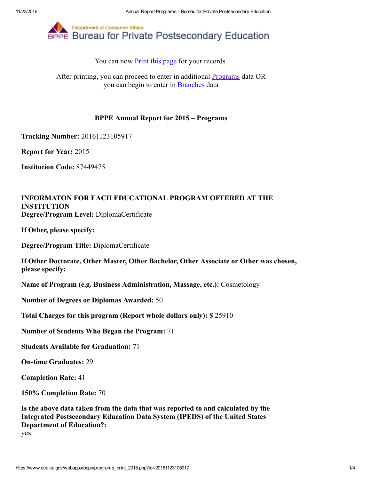

You can now **Print this page** for your records.

After printing, you can proceed to enter in additional **Programs** data OR you can begin to enter in [Branches](https://www.dca.ca.gov/webapps/bppe/report_branches_2015.php) data

## BPPE Annual Report for 2015 – Programs

Tracking Number: 20161123105917

Report for Year: 2015

Institution Code: 87449475

## INFORMATON FOR EACH EDUCATIONAL PROGRAM OFFERED AT THE INSTITUTION Degree/Program Level: DiplomaCertificate

If Other, please specify:

Degree/Program Title: DiplomaCertificate

If Other Doctorate, Other Master, Other Bachelor, Other Associate or Other was chosen, please specify:

Name of Program (e.g. Business Administration, Massage, etc.): Cosmetology

Number of Degrees or Diplomas Awarded: 50

Total Charges for this program (Report whole dollars only): \$ 25910

Number of Students Who Began the Program: 71

Students Available for Graduation: 71

**On-time Graduates: 29** 

Completion Rate: 41

150% Completion Rate: 70

Is the above data taken from the data that was reported to and calculated by the Integrated Postsecondary Education Data System (IPEDS) of the United States Department of Education?:

yes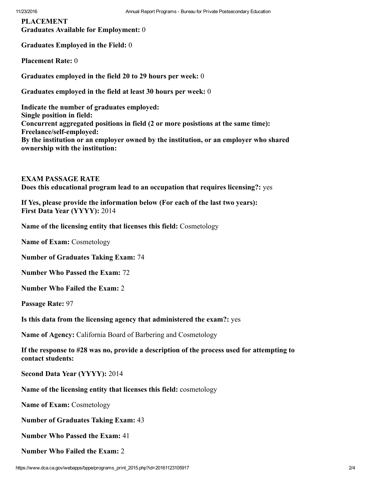PLACEMENT Graduates Available for Employment: 0

Graduates Employed in the Field: 0

Placement Rate: 0

Graduates employed in the field 20 to 29 hours per week: 0

Graduates employed in the field at least 30 hours per week: 0

Indicate the number of graduates employed: Single position in field: Concurrent aggregated positions in field (2 or more posistions at the same time): Freelance/self-employed: By the institution or an employer owned by the institution, or an employer who shared ownership with the institution:

EXAM PASSAGE RATE Does this educational program lead to an occupation that requires licensing?: yes

If Yes, please provide the information below (For each of the last two years): First Data Year (YYYY): 2014

Name of the licensing entity that licenses this field: Cosmetology

Name of Exam: Cosmetology

Number of Graduates Taking Exam: 74

Number Who Passed the Exam: 72

Number Who Failed the Exam: 2

Passage Rate: 97

Is this data from the licensing agency that administered the exam?: yes

Name of Agency: California Board of Barbering and Cosmetology

If the response to #28 was no, provide a description of the process used for attempting to contact students:

Second Data Year (YYYY): 2014

Name of the licensing entity that licenses this field: cosmetology

Name of Exam: Cosmetology

Number of Graduates Taking Exam: 43

Number Who Passed the Exam: 41

Number Who Failed the Exam: 2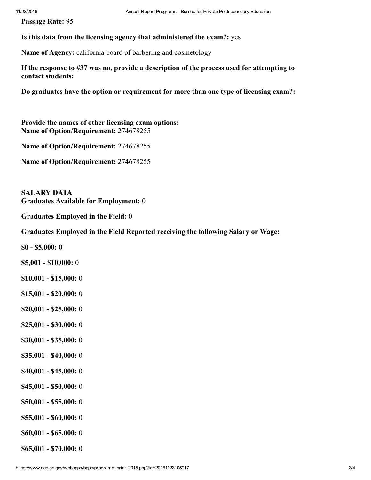Passage Rate: 95

Is this data from the licensing agency that administered the exam?: yes

Name of Agency: california board of barbering and cosmetology

If the response to #37 was no, provide a description of the process used for attempting to contact students:

Do graduates have the option or requirement for more than one type of licensing exam?:

Provide the names of other licensing exam options: Name of Option/Requirement: 274678255

Name of Option/Requirement: 274678255

Name of Option/Requirement: 274678255

SALARY DATA Graduates Available for Employment: 0

Graduates Employed in the Field: 0

Graduates Employed in the Field Reported receiving the following Salary or Wage:

 $$0 - $5,000:0$ 

- $$5,001 $10,000:0$
- $$10,001 $15,000:0$
- $$15,001 $20,000:0$
- $$20,001 $25,000:0$
- $$25,001 $30,000:0$
- $$30,001 $35,000:0$
- $$35,001 $40,000:0$
- $$40,001 $45,000:0$
- $$45,001 $50,000:0$
- $$50,001 $55,000:0$
- $$55,001 $60,000:0$
- $$60,001 $65,000:0$
- $$65,001 $70,000:0$